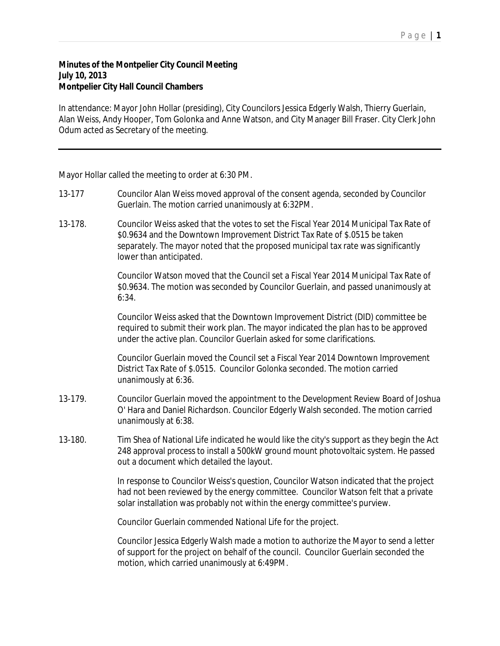## P a g e | **1**

## **Minutes of the Montpelier City Council Meeting July 10, 2013 Montpelier City Hall Council Chambers**

In attendance: Mayor John Hollar (presiding), City Councilors Jessica Edgerly Walsh, Thierry Guerlain, Alan Weiss, Andy Hooper, Tom Golonka and Anne Watson, and City Manager Bill Fraser. City Clerk John Odum acted as Secretary of the meeting.

Mayor Hollar called the meeting to order at 6:30 PM.

- 13-177 Councilor Alan Weiss moved approval of the consent agenda, seconded by Councilor Guerlain. The motion carried unanimously at 6:32PM.
- 13-178. Councilor Weiss asked that the votes to set the Fiscal Year 2014 Municipal Tax Rate of \$0.9634 and the Downtown Improvement District Tax Rate of \$.0515 be taken separately. The mayor noted that the proposed municipal tax rate was significantly lower than anticipated.

Councilor Watson moved that the Council set a Fiscal Year 2014 Municipal Tax Rate of \$0.9634. The motion was seconded by Councilor Guerlain, and passed unanimously at 6:34.

Councilor Weiss asked that the Downtown Improvement District (DID) committee be required to submit their work plan. The mayor indicated the plan has to be approved under the active plan. Councilor Guerlain asked for some clarifications.

Councilor Guerlain moved the Council set a Fiscal Year 2014 Downtown Improvement District Tax Rate of \$.0515. Councilor Golonka seconded. The motion carried unanimously at 6:36.

- 13-179. Councilor Guerlain moved the appointment to the Development Review Board of Joshua O' Hara and Daniel Richardson. Councilor Edgerly Walsh seconded. The motion carried unanimously at 6:38.
- 13-180. Tim Shea of National Life indicated he would like the city's support as they begin the Act 248 approval process to install a 500kW ground mount photovoltaic system. He passed out a document which detailed the layout.

In response to Councilor Weiss's question, Councilor Watson indicated that the project had not been reviewed by the energy committee. Councilor Watson felt that a private solar installation was probably not within the energy committee's purview.

Councilor Guerlain commended National Life for the project.

Councilor Jessica Edgerly Walsh made a motion to authorize the Mayor to send a letter of support for the project on behalf of the council. Councilor Guerlain seconded the motion, which carried unanimously at 6:49PM.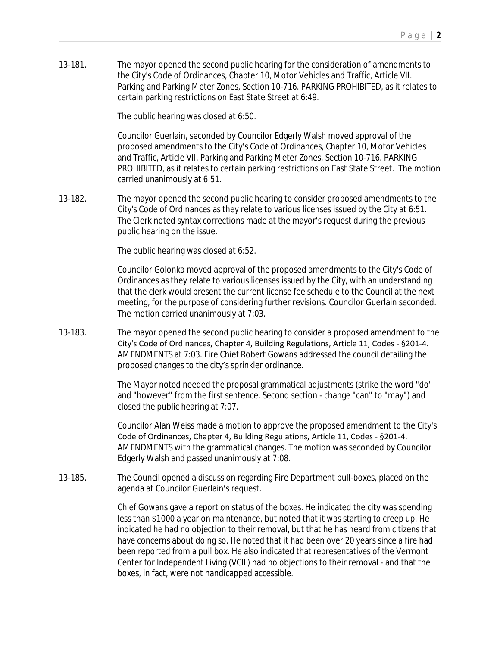13-181. The mayor opened the second public hearing for the consideration of amendments to the City's Code of Ordinances, Chapter 10, Motor Vehicles and Traffic, Article VII. Parking and Parking Meter Zones, Section 10-716. PARKING PROHIBITED, as it relates to certain parking restrictions on East State Street at 6:49.

The public hearing was closed at 6:50.

Councilor Guerlain, seconded by Councilor Edgerly Walsh moved approval of the proposed amendments to the City's Code of Ordinances, Chapter 10, Motor Vehicles and Traffic, Article VII. Parking and Parking Meter Zones, Section 10-716. PARKING PROHIBITED, as it relates to certain parking restrictions on East State Street. The motion carried unanimously at 6:51.

13-182. The mayor opened the second public hearing to consider proposed amendments to the City's Code of Ordinances as they relate to various licenses issued by the City at 6:51. The Clerk noted syntax corrections made at the mayor's request during the previous public hearing on the issue.

The public hearing was closed at 6:52.

Councilor Golonka moved approval of the proposed amendments to the City's Code of Ordinances as they relate to various licenses issued by the City, with an understanding that the clerk would present the current license fee schedule to the Council at the next meeting, for the purpose of considering further revisions. Councilor Guerlain seconded. The motion carried unanimously at 7:03.

13-183. The mayor opened the second public hearing to consider a proposed amendment to the City's Code of Ordinances, Chapter 4, Building Regulations, Article 11, Codes - §201-4. AMENDMENTS at 7:03. Fire Chief Robert Gowans addressed the council detailing the proposed changes to the city's sprinkler ordinance.

> The Mayor noted needed the proposal grammatical adjustments (strike the word "do" and "however" from the first sentence. Second section - change "can" to "may") and closed the public hearing at 7:07.

Councilor Alan Weiss made a motion to approve the proposed amendment to the City's Code of Ordinances, Chapter 4, Building Regulations, Article 11, Codes - §201-4. AMENDMENTS with the grammatical changes. The motion was seconded by Councilor Edgerly Walsh and passed unanimously at 7:08.

13-185. The Council opened a discussion regarding Fire Department pull-boxes, placed on the agenda at Councilor Guerlain's request.

> Chief Gowans gave a report on status of the boxes. He indicated the city was spending less than \$1000 a year on maintenance, but noted that it was starting to creep up. He indicated he had no objection to their removal, but that he has heard from citizens that have concerns about doing so. He noted that it had been over 20 years since a fire had been reported from a pull box. He also indicated that representatives of the Vermont Center for Independent Living (VCIL) had no objections to their removal - and that the boxes, in fact, were not handicapped accessible.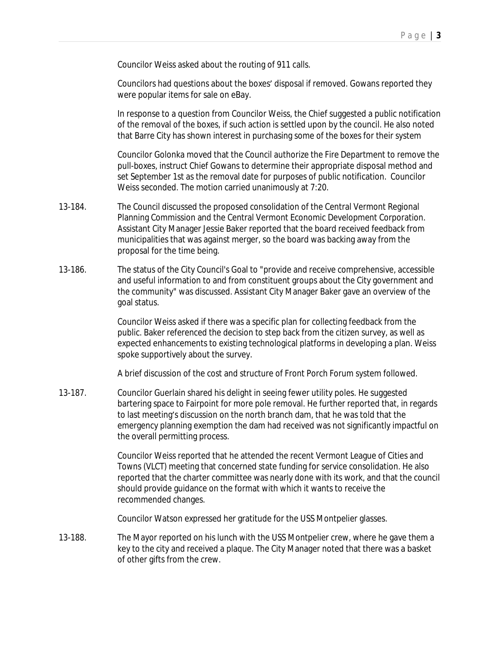Councilor Weiss asked about the routing of 911 calls.

Councilors had questions about the boxes' disposal if removed. Gowans reported they were popular items for sale on eBay.

In response to a question from Councilor Weiss, the Chief suggested a public notification of the removal of the boxes, if such action is settled upon by the council. He also noted that Barre City has shown interest in purchasing some of the boxes for their system

Councilor Golonka moved that the Council authorize the Fire Department to remove the pull-boxes, instruct Chief Gowans to determine their appropriate disposal method and set September 1st as the removal date for purposes of public notification. Councilor Weiss seconded. The motion carried unanimously at 7:20.

- 13-184. The Council discussed the proposed consolidation of the Central Vermont Regional Planning Commission and the Central Vermont Economic Development Corporation. Assistant City Manager Jessie Baker reported that the board received feedback from municipalities that was against merger, so the board was backing away from the proposal for the time being.
- 13-186. The status of the City Council's Goal to "provide and receive comprehensive, accessible and useful information to and from constituent groups about the City government and the community" was discussed. Assistant City Manager Baker gave an overview of the goal status.

Councilor Weiss asked if there was a specific plan for collecting feedback from the public. Baker referenced the decision to step back from the citizen survey, as well as expected enhancements to existing technological platforms in developing a plan. Weiss spoke supportively about the survey.

A brief discussion of the cost and structure of Front Porch Forum system followed.

13-187. Councilor Guerlain shared his delight in seeing fewer utility poles. He suggested bartering space to Fairpoint for more pole removal. He further reported that, in regards to last meeting's discussion on the north branch dam, that he was told that the emergency planning exemption the dam had received was not significantly impactful on the overall permitting process.

> Councilor Weiss reported that he attended the recent Vermont League of Cities and Towns (VLCT) meeting that concerned state funding for service consolidation. He also reported that the charter committee was nearly done with its work, and that the council should provide guidance on the format with which it wants to receive the recommended changes.

Councilor Watson expressed her gratitude for the USS Montpelier glasses.

13-188. The Mayor reported on his lunch with the USS Montpelier crew, where he gave them a key to the city and received a plaque. The City Manager noted that there was a basket of other gifts from the crew.